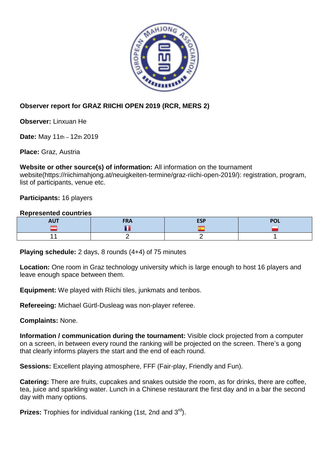

## **Observer report for GRAZ RIICHI OPEN 2019 (RCR, MERS 2)**

**Observer:** Linxuan He

**Date:** May 11th – 12th 2019

**Place:** Graz, Austria

**Website or other source(s) of information:** All information on the tournament website(https://riichimahjong.at/neuigkeiten-termine/graz-riichi-open-2019/): registration, program, list of participants, venue etc.

## **Participants:** 16 players

## **Represented countries**

| $-1.1$<br>nv, | <b>FDA</b><br>'NA | <b>ESP</b> |  |
|---------------|-------------------|------------|--|
|               |                   |            |  |
|               |                   |            |  |

**Playing schedule:** 2 days, 8 rounds (4+4) of 75 minutes

**Location:** One room in Graz technology university which is large enough to host 16 players and leave enough space between them.

**Equipment:** We played with Riichi tiles, junkmats and tenbos.

**Refereeing:** Michael Gürtl-Dusleag was non-player referee.

**Complaints:** None.

**Information / communication during the tournament:** Visible clock projected from a computer on a screen, in between every round the ranking will be projected on the screen. There's a gong that clearly informs players the start and the end of each round.

**Sessions:** Excellent playing atmosphere, FFF (Fair-play, Friendly and Fun).

**Catering:** There are fruits, cupcakes and snakes outside the room, as for drinks, there are coffee, tea, juice and sparkling water. Lunch in a Chinese restaurant the first day and in a bar the second day with many options.

**Prizes:** Trophies for individual ranking (1st, 2nd and 3<sup>rd</sup>).